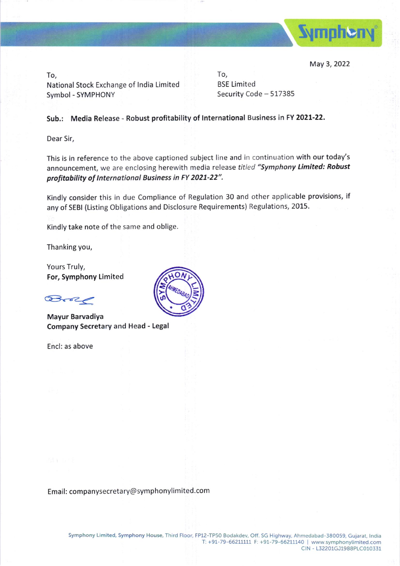

May 3, 2022

To, National Stock Exchange of lndia Limited Symbol - SYMPHONY

To, BSE Limited Security Code - 517385

## Sub.: Media Release - Robust profitability of International Business in FY 2021-22.

Dear Sir,

This is in reference to the above captioned subject line and in continuation with our today's announcement, we are enclosing herewith media release titled "Symphony Limited: Robust profitability of International Business in FY 2021-22".

Kindly consider this in due Compliance of Regulation 30 and other applicable provisions, if any of SEBI (Listing Obligations and Disclosure Requirements) Regulations, 2015.

Kindly take note of the same and oblige

Thanking you,

Yours Truly, For, Symphony Limited

@-a-z<

Company Secretary and Head - Legal Mayur Barvadiya

Encl: as above



Email: companysecretary@symphonylimited.com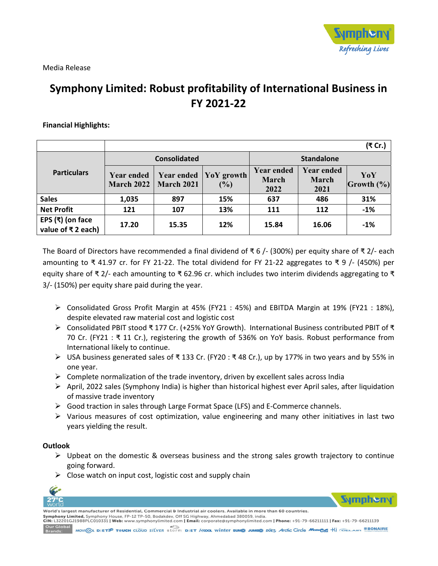

Media Release

# **Symphony Limited: Robust profitability of International Business in FY 2021‐22**

## **Financial Highlights:**

|                                                                |                                        |                                        |                      |                                    |                             | (₹ Cr.)            |
|----------------------------------------------------------------|----------------------------------------|----------------------------------------|----------------------|------------------------------------|-----------------------------|--------------------|
| <b>Particulars</b>                                             | <b>Consolidated</b>                    |                                        |                      | <b>Standalone</b>                  |                             |                    |
|                                                                | <b>Year ended</b><br><b>March 2022</b> | <b>Year ended</b><br><b>March 2021</b> | YoY growth<br>$(\%)$ | <b>Year ended</b><br>March<br>2022 | Year ended<br>March<br>2021 | YoY<br> Growth (%) |
| <b>Sales</b>                                                   | 1,035                                  | 897                                    | 15%                  | 637                                | 486                         | 31%                |
| <b>Net Profit</b>                                              | 121                                    | 107                                    | 13%                  | 111                                | 112                         | $-1%$              |
| EPS $(\bar{x})$ (on face<br>value of $\overline{\tau}$ 2 each) | 17.20                                  | 15.35                                  | 12%                  | 15.84                              | 16.06                       | $-1%$              |

The Board of Directors have recommended a final dividend of ₹ 6 /‐ (300%) per equity share of ₹ 2/‐ each amounting to ₹ 41.97 cr. for FY 21-22. The total dividend for FY 21-22 aggregates to ₹ 9 /- (450%) per equity share of ₹ 2/- each amounting to ₹ 62.96 cr. which includes two interim dividends aggregating to ₹ 3/‐ (150%) per equity share paid during the year.

- Consolidated Gross Profit Margin at 45% (FY21 : 45%) and EBITDA Margin at 19% (FY21 : 18%), despite elevated raw material cost and logistic cost
- Consolidated PBIT stood ₹ 177 Cr. (+25% YoY Growth). International Business contributed PBIT of ₹ 70 Cr. (FY21 :  $\overline{x}$  11 Cr.), registering the growth of 536% on YoY basis. Robust performance from International likely to continue.
- USA business generated sales of ₹ 133 Cr. (FY20 : ₹ 48 Cr.), up by 177% in two years and by 55% in one year.
- $\triangleright$  Complete normalization of the trade inventory, driven by excellent sales across India
- $\triangleright$  April, 2022 sales (Symphony India) is higher than historical highest ever April sales, after liquidation of massive trade inventory
- Good traction in sales through Large Format Space (LFS) and E‐Commerce channels.
- $\triangleright$  Various measures of cost optimization, value engineering and many other initiatives in last two years yielding the result.

### **Outlook**

- $\triangleright$  Upbeat on the domestic & overseas business and the strong sales growth trajectory to continue going forward.
- $\triangleright$  Close watch on input cost, logistic cost and supply chain